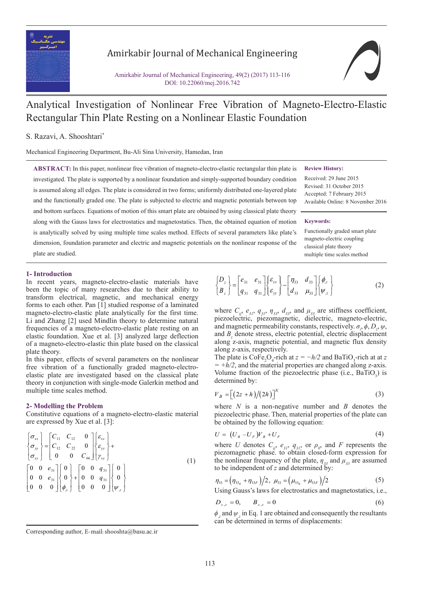

# Amirkabir Journal of Mechanical Engineering

Amirkabir Journal of Mechanical Engineering, 49(2) (2017) 113-116 DOI: 10.22060/mej.2016.742

# Analytical Investigation of Nonlinear Free Vibration of Magneto-Electro-Elastic Rectangular Thin Plate Resting on a Nonlinear Elastic Foundation

## S. Razavi, A. Shooshtari\*

Mechanical Engineering Department, Bu-Ali Sina University, Hamedan, Iran

**ABSTRACT:** In this paper, nonlinear free vibration of magneto-electro-elastic rectangular thin plate is investigated. The plate is supported by a nonlinear foundation and simply-supported boundary condition is assumed along all edges. The plate is considered in two forms; uniformly distributed one-layered plate and the functionally graded one. The plate is subjected to electric and magnetic potentials between top and bottom surfaces. Equations of motion of this smart plate are obtained by using classical plate theory along with the Gauss laws for electrostatics and magnetostatics. Then, the obtained equation of motion is analytically solved by using multiple time scales method. Effects of several parameters like plate's dimension, foundation parameter and electric and magnetic potentials on the nonlinear response of the plate are studied.

#### **Review History:**

Received: 29 June 2015 Revised: 31 October 2015 Accepted: 7 February 2015 Available Online: 8 November 2016

#### **Keywords:**

Functionally graded smart plate magneto-electric coupling classical plate theory multiple time scales method

#### **1- Introduction**

In recent years, magneto-electro-elastic materials have been the topic of many researches due to their ability to transform electrical, magnetic, and mechanical energy forms to each other. Pan [1] studied response of a laminated magneto-electro-elastic plate analytically for the first time. Li and Zhang [2] used Mindlin theory to determine natural frequencies of a magneto-electro-elastic plate resting on an elastic foundation. Xue et al. [3] analyzed large deflection of a magneto-electro-elastic thin plate based on the classical plate theory.

In this paper, effects of several parameters on the nonlinear free vibration of a functionally graded magneto-electroelastic plate are investigated based on the classical plate theory in conjunction with single-mode Galerkin method and multiple time scales method.

#### **2- Modelling the Problem**

Constitutive equations of a magneto-electro-elastic material are expressed by Xue et al. [3]:

$$
\begin{Bmatrix}\n\sigma_{xx} \\
\sigma_{yy} \\
\sigma_{xy}\n\end{Bmatrix} = \begin{bmatrix}\nC_{11} & C_{12} & 0 \\
C_{12} & C_{22} & 0 \\
0 & 0 & C_{66}\n\end{bmatrix} \begin{Bmatrix}\n\varepsilon_{xx} \\
\varepsilon_{yy} \\
\gamma_{xy}\n\end{Bmatrix} + \begin{Bmatrix}\n0 & 0 & e_{31} \\
0 & 0 & e_{31} \\
0 & 0 & 0\n\end{Bmatrix} \begin{Bmatrix}\n0 \\
0 \\
\varphi_{z}\n\end{Bmatrix} + \begin{bmatrix}\n0 & 0 & q_{31} \\
0 & 0 & q_{31} \\
0 & 0 & 0\n\end{bmatrix} \begin{bmatrix}\n0 \\
\varphi_{z}\n\end{bmatrix}
$$
\n(1)

$$
\begin{Bmatrix} D_z \\ B_z \end{Bmatrix} = \begin{bmatrix} e_{31} & e_{31} \\ q_{31} & q_{31} \end{bmatrix} \begin{Bmatrix} \mathcal{E}_{xx} \\ \mathcal{E}_{yy} \end{Bmatrix} - \begin{bmatrix} \eta_{33} & d_{33} \\ d_{33} & \mu_{33} \end{bmatrix} \begin{Bmatrix} \phi_z \\ \psi_{,z} \end{Bmatrix}
$$
 (2)

where  $C_{ij}$ ,  $e_{31}$ ,  $q_{31}$ ,  $\eta_{33}$ ,  $d_{33}$ , and  $\mu_{33}$  are stiffness coefficient, piezoelectric, piezomagnetic, dielectric, magneto-electric, and magnetic permeability constants, respectively.  $\sigma_i$ ,  $\phi$ ,  $D_z$ ,  $\psi$ , and  $B_z$  denote stress, electric potential, electric displacement along z-axis, magnetic potential, and magnetic flux density along z-axis, respectively.

The plate is  $\text{CoFe}_2\text{O}_4$ -rich at  $z = -h/2$  and BaTiO<sub>3</sub>-rich at at *z*  $= +h/2$ , and the material properties are changed along z-axis. Volume fraction of the piezoelectric phase (i.e.,  $BaTiO<sub>3</sub>$ ) is determined by:

$$
V_B = \left[ \left( 2z + h \right) / \left( 2h \right) \right]^N \tag{3}
$$

where *N* is a non-negative number and *B* denotes the piezoelectric phase. Then, material properties of the plate can be obtained by the following equation:

$$
U = (U_B - U_F)V_B + U_F \tag{4}
$$

where *U* denotes  $C_{ij}$ ,  $e_{31}$ ,  $q_{31}$ , or  $\rho_{0}$ , and *F* represents the piezomagnetic phase. to obtain closed-form expression for the nonlinear frequency of the plate,  $\eta_{33}$  and  $\mu_{33}$  are assumed to be independent of  $z$  and determined by:

$$
\eta_{33} = (\eta_{33_B} + \eta_{33F})/2, \ \mu_{33} = (\mu_{33_B} + \mu_{33F})/2 \tag{5}
$$

Using Gauss's laws for electrostatics and magnetostatics, i.e.,

$$
D_{z,z} = 0, \qquad B_{z,z} = 0 \tag{6}
$$

*ϕ*,*z* and *ψ,z* in Eq. 1 are obtained and consequently the resultants can be determined in terms of displacements:

Corresponding author, E-mail: shooshta@basu.ac.ir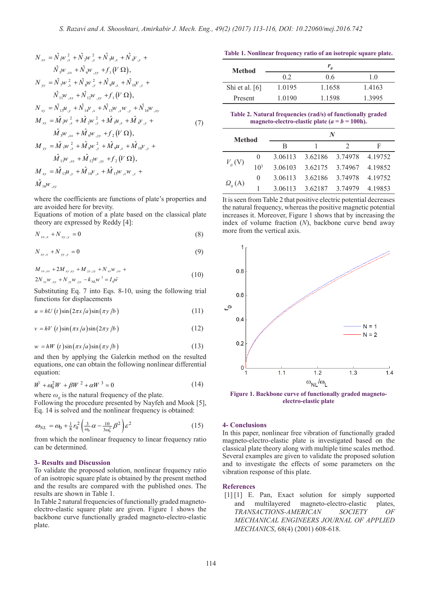$$
N_{xx} = \hat{N}_{1}w_{,x}^{2} + \hat{N}_{2}w_{,y}^{2} + \hat{N}_{3}u_{,x} + \hat{N}_{4}v_{,y} +
$$
  
\n
$$
\hat{N}_{3}w_{,xx} + \hat{N}_{6}w_{,yy} + f_{1}(V \Omega),
$$
  
\n
$$
N_{yy} = \hat{N}_{7}w_{,x}^{2} + \hat{N}_{8}w_{,y}^{2} + \hat{N}_{9}u_{,x} + \hat{N}_{10}v_{,y} +
$$
  
\n
$$
\hat{N}_{11}w_{,xx} + \hat{N}_{12}w_{,yy} + f_{1}(V \Omega),
$$
  
\n
$$
N_{xy} = \hat{N}_{13}u_{,y} + \hat{N}_{14}v_{,x} + \hat{N}_{15}w_{,x}w_{,y} + \hat{N}_{16}w_{,xy}
$$
  
\n
$$
M_{xx} = \hat{M}_{1}w_{,x}^{2} + \hat{M}_{2}w_{,y}^{2} + \hat{M}_{3}u_{,x} + \hat{M}_{4}v_{,y} +
$$
  
\n
$$
\hat{M}_{5}w_{,xx} + \hat{M}_{6}w_{,yy} + f_{2}(V \Omega),
$$
  
\n
$$
M_{yy} = \hat{M}_{7}w_{,x}^{2} + \hat{M}_{8}w_{,y}^{2} + \hat{M}_{9}u_{,x} + \hat{M}_{10}v_{,y} +
$$
  
\n
$$
\hat{M}_{11}w_{,xx} + \hat{M}_{12}w_{,yy} + f_{2}(V \Omega),
$$
  
\n
$$
M_{xy} = \hat{M}_{13}u_{,y} + \hat{M}_{14}v_{,x} + \hat{M}_{15}w_{,x}w_{,y} +
$$
  
\n
$$
\hat{M}_{16}w_{,xy}
$$

where the coefficients are functions of plate's properties and are avoided here for brevity.

Equations of motion of a plate based on the classical plate theory are expressed by Reddy [4]:

$$
N_{xx,x} + N_{xy,y} = 0 \tag{8}
$$

$$
N_{xy,x} + N_{yy,y} = 0
$$
 (9)

$$
M_{xx,xx} + 2M_{xy,xy} + M_{yy,yy} + N_{xx}w_{,xx} + 2N_{xy}w_{,xy} + N_{yy}w_{,yy} - k_{x}w^{3} = I_{0}\ddot{w}
$$
\n(10)

Substituting Eq. 7 into Eqs. 8-10, using the following trial functions for displacements

$$
u = hU(t)\sin(2\pi x/a)\sin(\pi y/b)
$$
 (11)

$$
v = hV(t)\sin(\pi x/a)\sin(2\pi y/b)
$$
 (12)

$$
w = hW(t)\sin(\pi x/a)\sin(\pi y/b)
$$
 (13)

and then by applying the Galerkin method on the resulted equations, one can obtain the following nonlinear differential equation:

$$
\ddot{W} + \omega_0^2 W + \beta W^2 + \alpha W^3 = 0 \tag{14}
$$

where  $\omega_0$  is the natural frequency of the plate.

Following the procedure presented by Nayfeh and Mook [5], Eq. 14 is solved and the nonlinear frequency is obtained:

$$
\omega_{NL} = \omega_0 + \frac{1}{8}r_0^2 \left(\frac{3}{\omega_0}\alpha - \frac{10}{3\omega_0^3}\beta^2\right)\varepsilon^2\tag{15}
$$

from which the nonlinear frequency to linear frequency ratio can be determined.

## **3- Results and Discussion**

To validate the proposed solution, nonlinear frequency ratio of an isotropic square plate is obtained by the present method and the results are compared with the published ones. The results are shown in Table 1.

In Table 2 natural frequencies of functionally graded magnetoelectro-elastic square plate are given. Figure 1 shows the backbone curve functionally graded magneto-electro-elastic plate.

**Table 1. Nonlinear frequency ratio of an isotropic square plate.**

| Method           |        |        |        |
|------------------|--------|--------|--------|
|                  | 0.2    | 0.6    | 1.0    |
| Shi et al. $[6]$ | 1.0195 | 1.1658 | 1.4163 |
| Present          | 1.0190 | 1.1598 | 1.3995 |

**Table 2. Natural frequencies (rad/s) of functionally graded magneto-electro-elastic plate (** $a = b = 100$ **h).** 

| <b>Method</b>               |                 | N       |                         |         |         |  |
|-----------------------------|-----------------|---------|-------------------------|---------|---------|--|
|                             |                 | B       |                         |         | F       |  |
| $V_{0}$ (V)                 | $\theta$        |         | 3.06113 3.62186 3.74978 |         | 4.19752 |  |
|                             | 10 <sup>3</sup> | 3.06103 | 3.62175                 | 3.74967 | 4.19852 |  |
| $\Omega$ <sub>0</sub> $(A)$ | $\theta$        | 3.06113 | 3.62186                 | 3.74978 | 4.19752 |  |
|                             |                 | 3.06113 | 3.62187                 | 3.74979 | 4.19853 |  |

It is seen from Table 2 that positive electric potential decreases the natural frequency, whereas the positive magnetic potential increases it. Moreover, Figure 1 shows that by increasing the index of volume fraction (*N*), backbone curve bend away more from the vertical axis.



**Figure 1. Backbone curve of functionally graded magnetoelectro-elastic plate**

#### **4- Conclusions**

In this paper, nonlinear free vibration of functionally graded magneto-electro-elastic plate is investigated based on the classical plate theory along with multiple time scales method. Several examples are given to validate the proposed solution and to investigate the effects of some parameters on the vibration response of this plate.

#### **References**

[1] [1] E. Pan, Exact solution for simply supported and multilayered magneto-electro-elastic plates, *TRANSACTIONS-AMERICAN SOCIETY OF MECHANICAL ENGINEERS JOURNAL OF APPLIED MECHANICS*, 68(4) (2001) 608-618.